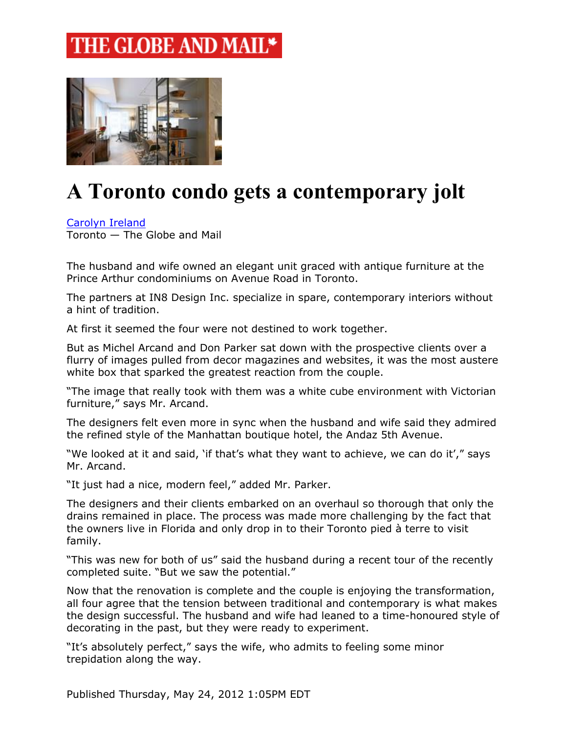## THE GLOBE AND MAIL\*



## **A Toronto condo gets a contemporary jolt**

[Carolyn Ireland](https://www.theglobeandmail.com/authors/carolyn-ireland)

Toronto — The Globe and Mail

The husband and wife owned an elegant unit graced with antique furniture at the Prince Arthur condominiums on Avenue Road in Toronto.

The partners at IN8 Design Inc. specialize in spare, contemporary interiors without a hint of tradition.

At first it seemed the four were not destined to work together.

But as Michel Arcand and Don Parker sat down with the prospective clients over a flurry of images pulled from decor magazines and websites, it was the most austere white box that sparked the greatest reaction from the couple.

"The image that really took with them was a white cube environment with Victorian furniture," says Mr. Arcand.

The designers felt even more in sync when the husband and wife said they admired the refined style of the Manhattan boutique hotel, the Andaz 5th Avenue.

"We looked at it and said, 'if that's what they want to achieve, we can do it'," says Mr. Arcand.

"It just had a nice, modern feel," added Mr. Parker.

The designers and their clients embarked on an overhaul so thorough that only the drains remained in place. The process was made more challenging by the fact that the owners live in Florida and only drop in to their Toronto pied à terre to visit family.

"This was new for both of us" said the husband during a recent tour of the recently completed suite. "But we saw the potential."

Now that the renovation is complete and the couple is enjoying the transformation, all four agree that the tension between traditional and contemporary is what makes the design successful. The husband and wife had leaned to a time-honoured style of decorating in the past, but they were ready to experiment.

"It's absolutely perfect," says the wife, who admits to feeling some minor trepidation along the way.

Published Thursday, May 24, 2012 1:05PM EDT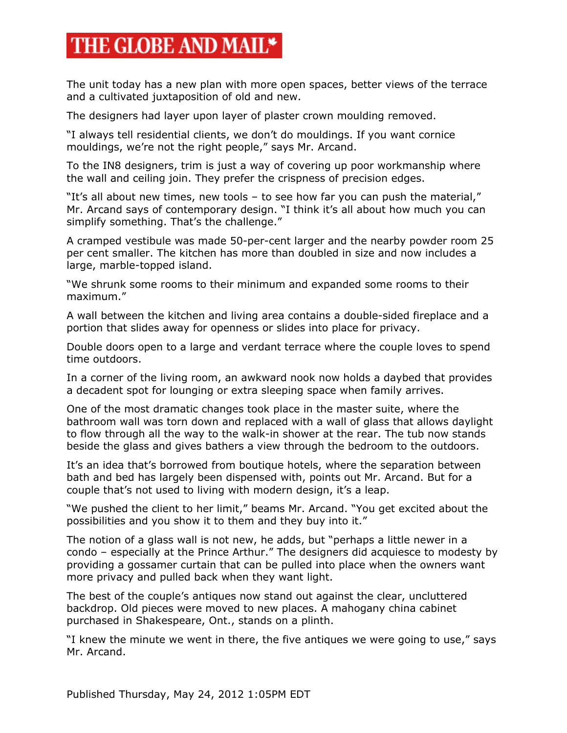## THE GLOBE AND MAIL\*

The unit today has a new plan with more open spaces, better views of the terrace and a cultivated juxtaposition of old and new.

The designers had layer upon layer of plaster crown moulding removed.

"I always tell residential clients, we don't do mouldings. If you want cornice mouldings, we're not the right people," says Mr. Arcand.

To the IN8 designers, trim is just a way of covering up poor workmanship where the wall and ceiling join. They prefer the crispness of precision edges.

"It's all about new times, new tools – to see how far you can push the material," Mr. Arcand says of contemporary design. "I think it's all about how much you can simplify something. That's the challenge."

A cramped vestibule was made 50-per-cent larger and the nearby powder room 25 per cent smaller. The kitchen has more than doubled in size and now includes a large, marble-topped island.

"We shrunk some rooms to their minimum and expanded some rooms to their maximum."

A wall between the kitchen and living area contains a double-sided fireplace and a portion that slides away for openness or slides into place for privacy.

Double doors open to a large and verdant terrace where the couple loves to spend time outdoors.

In a corner of the living room, an awkward nook now holds a daybed that provides a decadent spot for lounging or extra sleeping space when family arrives.

One of the most dramatic changes took place in the master suite, where the bathroom wall was torn down and replaced with a wall of glass that allows daylight to flow through all the way to the walk-in shower at the rear. The tub now stands beside the glass and gives bathers a view through the bedroom to the outdoors.

It's an idea that's borrowed from boutique hotels, where the separation between bath and bed has largely been dispensed with, points out Mr. Arcand. But for a couple that's not used to living with modern design, it's a leap.

"We pushed the client to her limit," beams Mr. Arcand. "You get excited about the possibilities and you show it to them and they buy into it."

The notion of a glass wall is not new, he adds, but "perhaps a little newer in a condo – especially at the Prince Arthur." The designers did acquiesce to modesty by providing a gossamer curtain that can be pulled into place when the owners want more privacy and pulled back when they want light.

The best of the couple's antiques now stand out against the clear, uncluttered backdrop. Old pieces were moved to new places. A mahogany china cabinet purchased in Shakespeare, Ont., stands on a plinth.

"I knew the minute we went in there, the five antiques we were going to use," says Mr. Arcand.